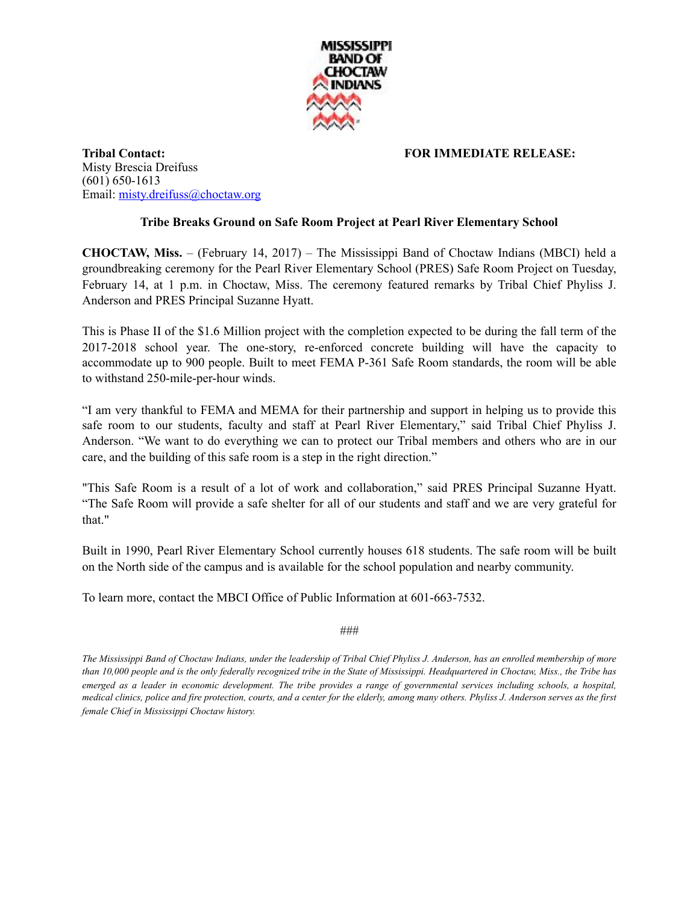

**Tribal Contact: FOR IMMEDIATE RELEASE:**  Misty Brescia Dreifuss (601) 650-1613 Email: [misty.dreifuss@choctaw.org](mailto:misty.dreifuss@choctaw.org)

## **Tribe Breaks Ground on Safe Room Project at Pearl River Elementary School**

**CHOCTAW, Miss.** – (February 14, 2017) – The Mississippi Band of Choctaw Indians (MBCI) held a groundbreaking ceremony for the Pearl River Elementary School (PRES) Safe Room Project on Tuesday, February 14, at 1 p.m. in Choctaw, Miss. The ceremony featured remarks by Tribal Chief Phyliss J. Anderson and PRES Principal Suzanne Hyatt.

This is Phase II of the \$1.6 Million project with the completion expected to be during the fall term of the 2017-2018 school year. The one-story, re-enforced concrete building will have the capacity to accommodate up to 900 people. Built to meet FEMA P-361 Safe Room standards, the room will be able to withstand 250-mile-per-hour winds.

"I am very thankful to FEMA and MEMA for their partnership and support in helping us to provide this safe room to our students, faculty and staff at Pearl River Elementary," said Tribal Chief Phyliss J. Anderson. "We want to do everything we can to protect our Tribal members and others who are in our care, and the building of this safe room is a step in the right direction."

"This Safe Room is a result of a lot of work and collaboration," said PRES Principal Suzanne Hyatt. "The Safe Room will provide a safe shelter for all of our students and staff and we are very grateful for that."

Built in 1990, Pearl River Elementary School currently houses 618 students. The safe room will be built on the North side of the campus and is available for the school population and nearby community.

To learn more, contact the MBCI Office of Public Information at 601-663-7532.

###

*The Mississippi Band of Choctaw Indians, under the leadership of Tribal Chief Phyliss J. Anderson, has an enrolled membership of more than 10,000 people and is the only federally recognized tribe in the State of Mississippi. Headquartered in Choctaw, Miss., the Tribe has emerged as a leader in economic development. The tribe provides a range of governmental services including schools, a hospital, medical clinics, police and fire protection, courts, and a center for the elderly, among many others. Phyliss J. Anderson serves as the first female Chief in Mississippi Choctaw history.*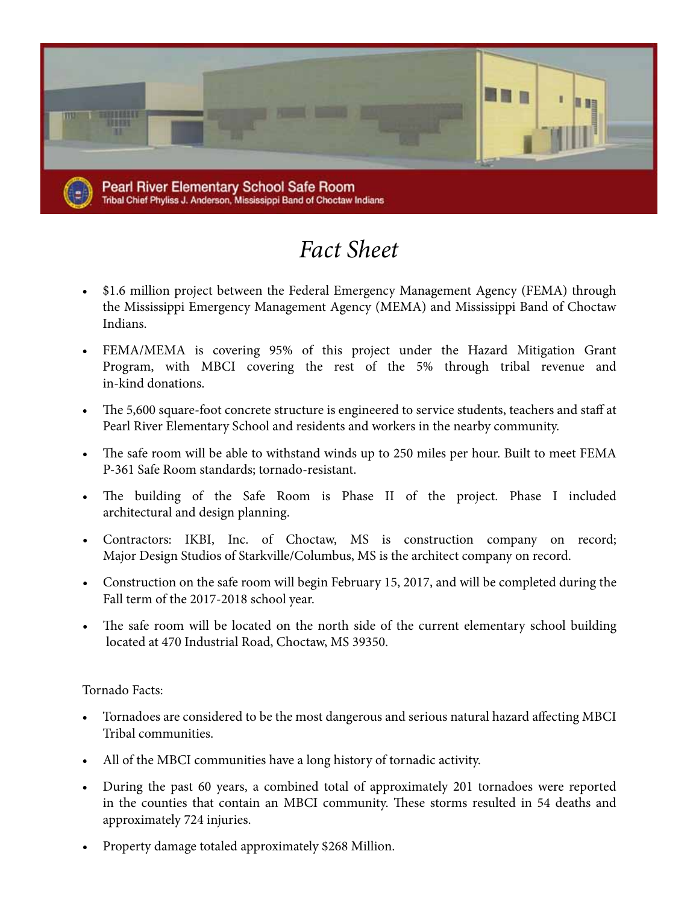

## *Fact Sheet*

- \$1.6 million project between the Federal Emergency Management Agency (FEMA) through the Mississippi Emergency Management Agency (MEMA) and Mississippi Band of Choctaw Indians.
- FEMA/MEMA is covering 95% of this project under the Hazard Mitigation Grant Program, with MBCI covering the rest of the 5% through tribal revenue and in-kind donations.
- The 5,600 square-foot concrete structure is engineered to service students, teachers and staff at Pearl River Elementary School and residents and workers in the nearby community.
- The safe room will be able to withstand winds up to 250 miles per hour. Built to meet FEMA P-361 Safe Room standards; tornado-resistant.
- • The building of the Safe Room is Phase II of the project. Phase I included architectural and design planning.
- • Contractors: IKBI, Inc. of Choctaw, MS is construction company on record; Major Design Studios of Starkville/Columbus, MS is the architect company on record.
- Construction on the safe room will begin February 15, 2017, and will be completed during the Fall term of the 2017-2018 school year.
- The safe room will be located on the north side of the current elementary school building located at 470 Industrial Road, Choctaw, MS 39350.

## Tornado Facts:

- Tornadoes are considered to be the most dangerous and serious natural hazard affecting MBCI Tribal communities.
- All of the MBCI communities have a long history of tornadic activity.
- During the past 60 years, a combined total of approximately 201 tornadoes were reported in the counties that contain an MBCI community. These storms resulted in 54 deaths and approximately 724 injuries.
- Property damage totaled approximately \$268 Million.